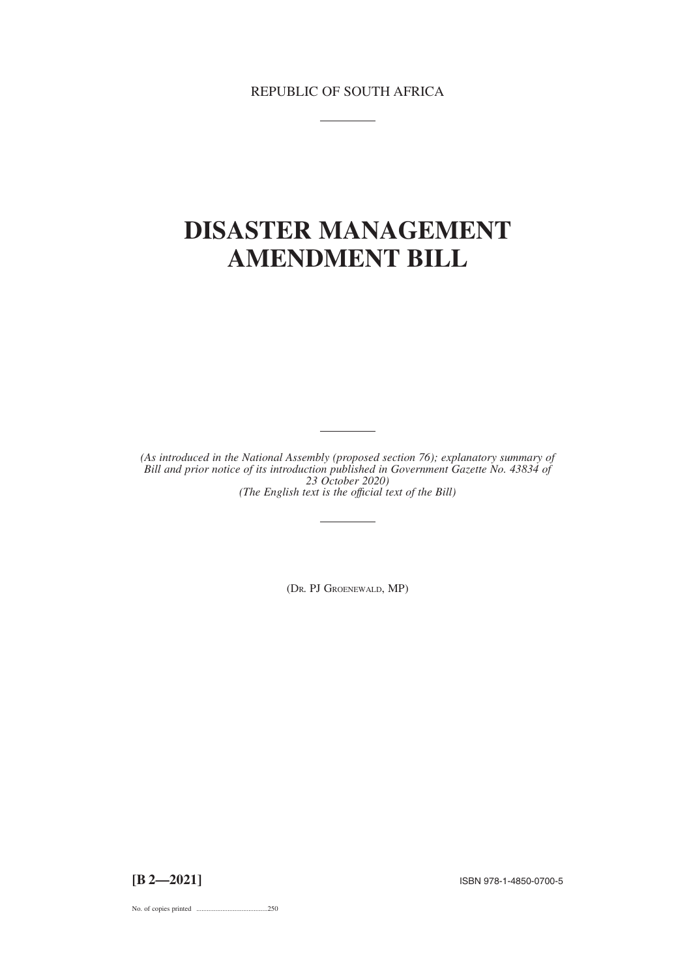REPUBLIC OF SOUTH AFRICA

## **DISASTER MANAGEMENT AMENDMENT BILL**

*(As introduced in the National Assembly (proposed section 76); explanatory summary of Bill and prior notice of its introduction published in Government Gazette No. 43834 of 23 October 2020) (The English text is the offıcial text of the Bill)*

(DR. PJ GROENEWALD, MP)

No. of copies printed .........................................250

**[B 2—2021]** ISBN 978-1-4850-0700-5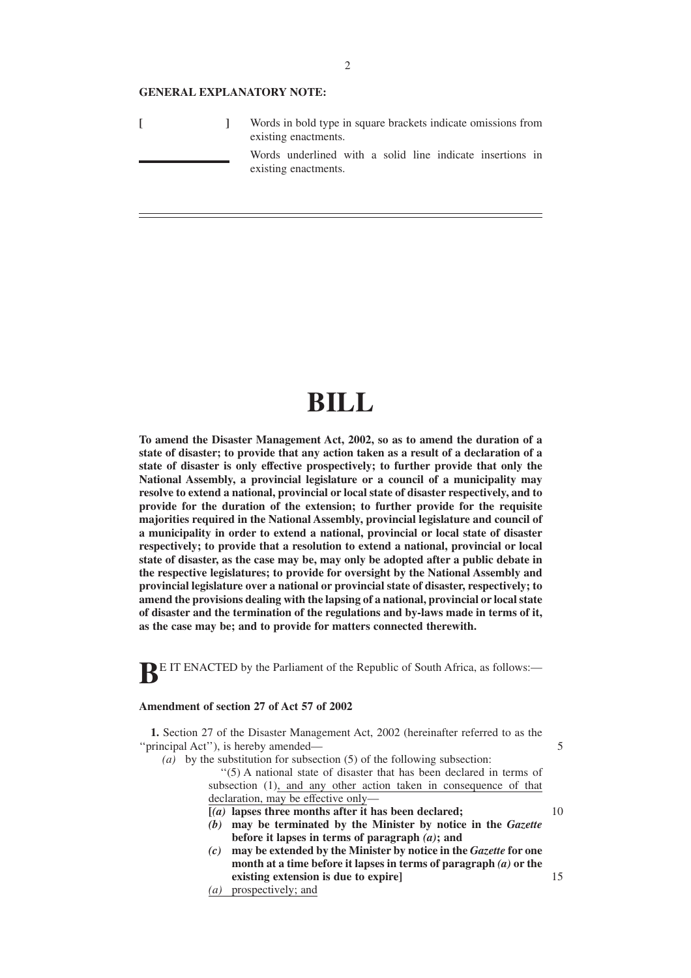#### **GENERAL EXPLANATORY NOTE:**

|  | Words in bold type in square brackets indicate omissions from<br>existing enactments. |
|--|---------------------------------------------------------------------------------------|
|  | Words underlined with a solid line indicate insertions in<br>existing enactments.     |

# **BILL**

**To amend the Disaster Management Act, 2002, so as to amend the duration of a state of disaster; to provide that any action taken as a result of a declaration of a state of disaster is only effective prospectively; to further provide that only the National Assembly, a provincial legislature or a council of a municipality may resolve to extend a national, provincial or local state of disaster respectively, and to provide for the duration of the extension; to further provide for the requisite majorities required in the National Assembly, provincial legislature and council of a municipality in order to extend a national, provincial or local state of disaster respectively; to provide that a resolution to extend a national, provincial or local state of disaster, as the case may be, may only be adopted after a public debate in the respective legislatures; to provide for oversight by the National Assembly and provincial legislature over a national or provincial state of disaster, respectively; to amend the provisions dealing with the lapsing of a national, provincial or local state of disaster and the termination of the regulations and by-laws made in terms of it, as the case may be; and to provide for matters connected therewith.**

**BE IT ENACTED** by the Parliament of the Republic of South Africa, as follows:-

#### **Amendment of section 27 of Act 57 of 2002**

**1.** Section 27 of the Disaster Management Act, 2002 (hereinafter referred to as the ''principal Act''), is hereby amended—

*(a)* by the substitution for subsection (5) of the following subsection: ''(5) A national state of disaster that has been declared in terms of subsection (1), and any other action taken in consequence of that declaration, may be effective only-

- **[***(a)* **lapses three months after it has been declared;**
- *(b)* **may be terminated by the Minister by notice in the** *Gazette* **before it lapses in terms of paragraph** *(a)***; and**
- *(c)* **may be extended by the Minister by notice in the** *Gazette* **for one month at a time before it lapses in terms of paragraph** *(a)* **or the existing extension is due to expire]**
- *(a)* prospectively; and

5

10

15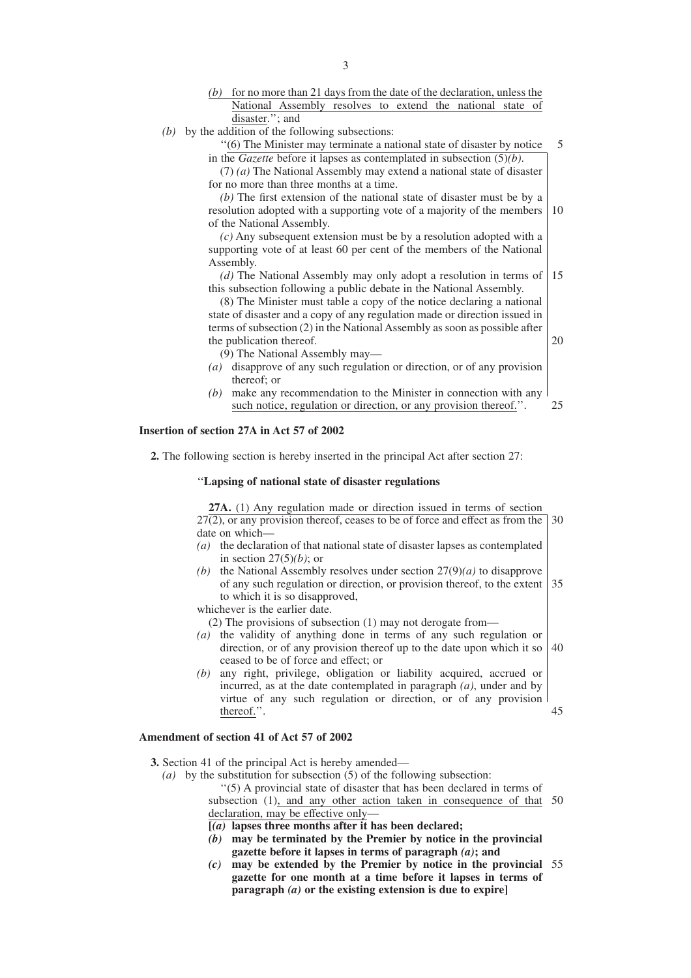- *(b)* for no more than 21 days from the date of the declaration, unless the National Assembly resolves to extend the national state of disaster.''; and
- *(b)* by the addition of the following subsections:

''(6) The Minister may terminate a national state of disaster by notice in the *Gazette* before it lapses as contemplated in subsection (5)*(b)*. 5

(7) *(a)* The National Assembly may extend a national state of disaster for no more than three months at a time.

*(b)* The first extension of the national state of disaster must be by a resolution adopted with a supporting vote of a majority of the members of the National Assembly. 10

*(c)* Any subsequent extension must be by a resolution adopted with a supporting vote of at least 60 per cent of the members of the National Assembly.

*(d)* The National Assembly may only adopt a resolution in terms of this subsection following a public debate in the National Assembly. 15

20

(8) The Minister must table a copy of the notice declaring a national state of disaster and a copy of any regulation made or direction issued in terms of subsection (2) in the National Assembly as soon as possible after the publication thereof.

(9) The National Assembly may—

- *(a)* disapprove of any such regulation or direction, or of any provision thereof; or
- *(b)* make any recommendation to the Minister in connection with any such notice, regulation or direction, or any provision thereof.". 25

## **Insertion of section 27A in Act 57 of 2002**

**2.** The following section is hereby inserted in the principal Act after section 27:

#### ''**Lapsing of national state of disaster regulations**

**27A.** (1) Any regulation made or direction issued in terms of section  $27(2)$ , or any provision thereof, ceases to be of force and effect as from the 30 date on which—

- *(a)* the declaration of that national state of disaster lapses as contemplated in section 27(5)*(b)*; or
- *(b)* the National Assembly resolves under section 27(9)*(a)* to disapprove of any such regulation or direction, or provision thereof, to the extent to which it is so disapproved, 35

whichever is the earlier date.

(2) The provisions of subsection (1) may not derogate from—

- *(a)* the validity of anything done in terms of any such regulation or direction, or of any provision thereof up to the date upon which it so ceased to be of force and effect; or 40
- *(b)* any right, privilege, obligation or liability acquired, accrued or incurred, as at the date contemplated in paragraph *(a)*, under and by virtue of any such regulation or direction, or of any provision thereof.''. 45

## **Amendment of section 41 of Act 57 of 2002**

**3.** Section 41 of the principal Act is hereby amended—

*(a)* by the substitution for subsection (5) of the following subsection:

''(5) A provincial state of disaster that has been declared in terms of subsection (1), and any other action taken in consequence of that 50 declaration, may be effective only-

- **[***(a)* **lapses three months after it has been declared;**
- *(b)* **may be terminated by the Premier by notice in the provincial gazette before it lapses in terms of paragraph** *(a)***; and**
- *(c)* **may be extended by the Premier by notice in the provincial** 55**gazette for one month at a time before it lapses in terms of paragraph** *(a)* **or the existing extension is due to expire]**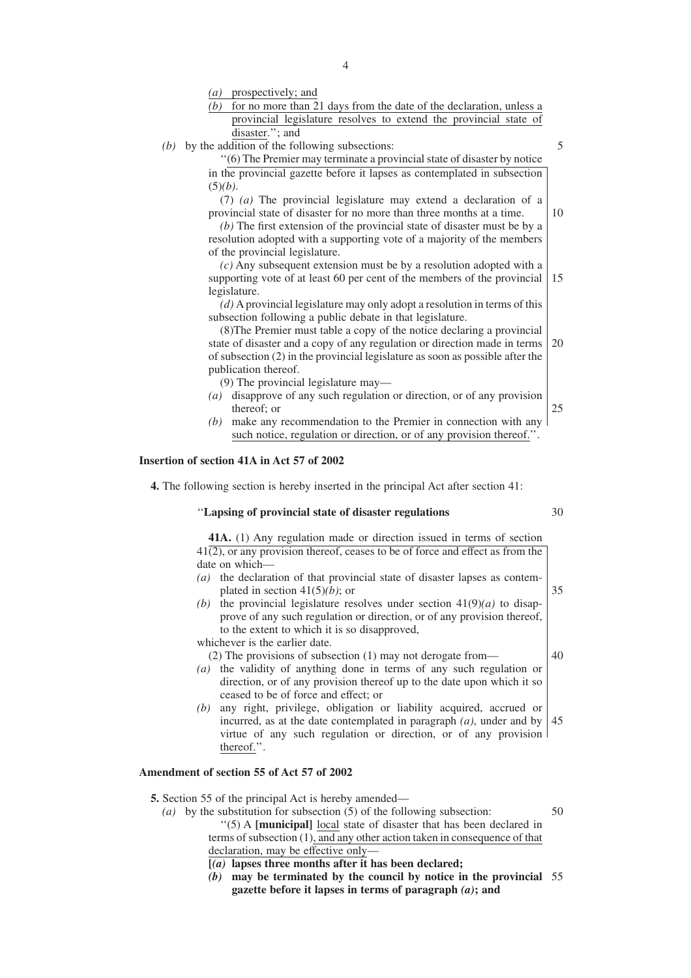*(a)* prospectively; and

| P100P221.21                                                                |  |  |
|----------------------------------------------------------------------------|--|--|
| for no more than 21 days from the date of the declaration, unless a<br>(b) |  |  |
| provincial legislature resolves to extend the provincial state of          |  |  |
| disaster."; and                                                            |  |  |
| by the addition of the following subsections:                              |  |  |
| "(6) The Premier may terminate a provincial state of disaster by notice    |  |  |
| in the provincial cozatte before it langes as contemplated in subsection   |  |  |

 $(b)$  b

in the provincial gazette before it lapses as contemplated in subsection (5)*(b)*.

(7) *(a)* The provincial legislature may extend a declaration of a provincial state of disaster for no more than three months at a time.

*(b)* The first extension of the provincial state of disaster must be by a resolution adopted with a supporting vote of a majority of the members of the provincial legislature.

*(c)* Any subsequent extension must be by a resolution adopted with a supporting vote of at least 60 per cent of the members of the provincial legislature. 15

*(d)* A provincial legislature may only adopt a resolution in terms of this subsection following a public debate in that legislature.

(8)The Premier must table a copy of the notice declaring a provincial state of disaster and a copy of any regulation or direction made in terms of subsection (2) in the provincial legislature as soon as possible after the publication thereof. 20

(9) The provincial legislature may—

- *(a)* disapprove of any such regulation or direction, or of any provision thereof; or 25
- *(b)* make any recommendation to the Premier in connection with any such notice, regulation or direction, or of any provision thereof.''.

#### **Insertion of section 41A in Act 57 of 2002**

**4.** The following section is hereby inserted in the principal Act after section 41:

#### ''**Lapsing of provincial state of disaster regulations**

**41A.** (1) Any regulation made or direction issued in terms of section  $41(2)$ , or any provision thereof, ceases to be of force and effect as from the date on which—

- *(a)* the declaration of that provincial state of disaster lapses as contemplated in section 41(5)*(b)*; or 35
- *(b)* the provincial legislature resolves under section  $41(9)(a)$  to disapprove of any such regulation or direction, or of any provision thereof, to the extent to which it is so disapproved,

whichever is the earlier date.

(2) The provisions of subsection (1) may not derogate from—

- *(a)* the validity of anything done in terms of any such regulation or direction, or of any provision thereof up to the date upon which it so ceased to be of force and effect; or
- *(b)* any right, privilege, obligation or liability acquired, accrued or incurred, as at the date contemplated in paragraph *(a)*, under and by virtue of any such regulation or direction, or of any provision thereof.''. 45

## **Amendment of section 55 of Act 57 of 2002**

- **5.** Section 55 of the principal Act is hereby amended—
	- *(a)* by the substitution for subsection (5) of the following subsection: ''(5) A **[municipal]** local state of disaster that has been declared in terms of subsection (1), and any other action taken in consequence of that declaration, may be effective only— 50
		- **[***(a)* **lapses three months after it has been declared;**
		- *(b)* **may be terminated by the council by notice in the provincial** 55**gazette before it lapses in terms of paragraph** *(a)***; and**

30

40

5

10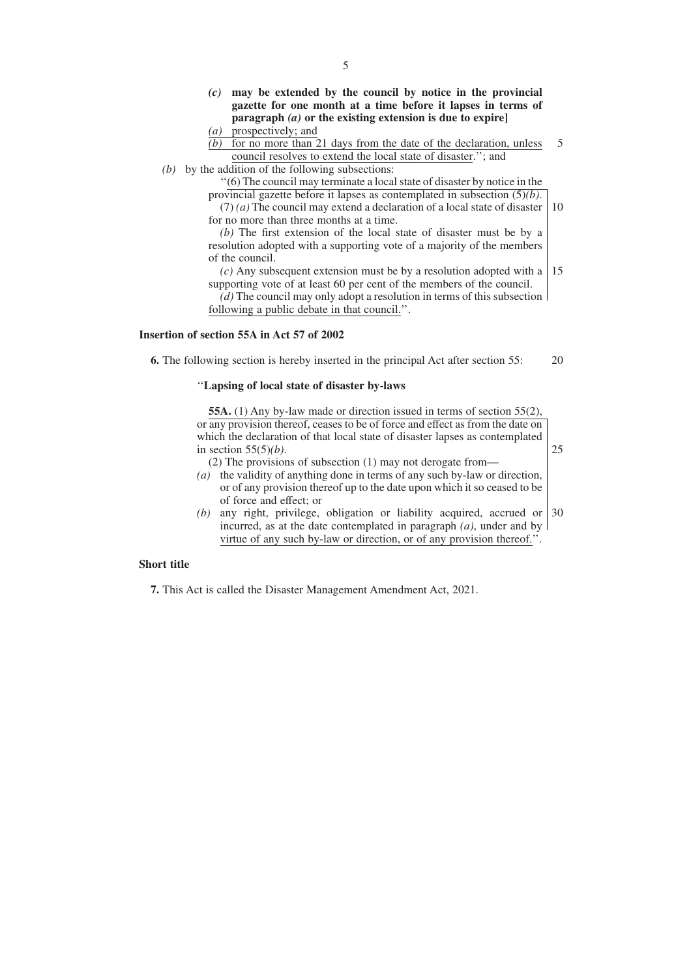- *(c)* **may be extended by the council by notice in the provincial gazette for one month at a time before it lapses in terms of paragraph** *(a)* **or the existing extension is due to expire]**
- *(a)* prospectively; and
- $\overline{(b)}$  for no more than 21 days from the date of the declaration, unless council resolves to extend the local state of disaster.''; and 5
- *(b)* by the addition of the following subsections:

''(6) The council may terminate a local state of disaster by notice in the provincial gazette before it lapses as contemplated in subsection (5)*(b)*.

(7) *(a)* The council may extend a declaration of a local state of disaster for no more than three months at a time. 10

*(b)* The first extension of the local state of disaster must be by a resolution adopted with a supporting vote of a majority of the members of the council.

 $(c)$  Any subsequent extension must be by a resolution adopted with a | 15 supporting vote of at least 60 per cent of the members of the council. *(d)* The council may only adopt a resolution in terms of this subsection following a public debate in that council.''.

#### **Insertion of section 55A in Act 57 of 2002**

**6.** The following section is hereby inserted in the principal Act after section 55: 20

## ''**Lapsing of local state of disaster by-laws**

**55A.** (1) Any by-law made or direction issued in terms of section 55(2), or any provision thereof, ceases to be of force and effect as from the date on which the declaration of that local state of disaster lapses as contemplated in section 55(5)*(b)*. (2) The provisions of subsection (1) may not derogate from—

25

- *(a)* the validity of anything done in terms of any such by-law or direction, or of any provision thereof up to the date upon which it so ceased to be of force and effect; or
- *(b)* any right, privilege, obligation or liability acquired, accrued or incurred, as at the date contemplated in paragraph *(a)*, under and by virtue of any such by-law or direction, or of any provision thereof.''. 30

#### **Short title**

**7.** This Act is called the Disaster Management Amendment Act, 2021.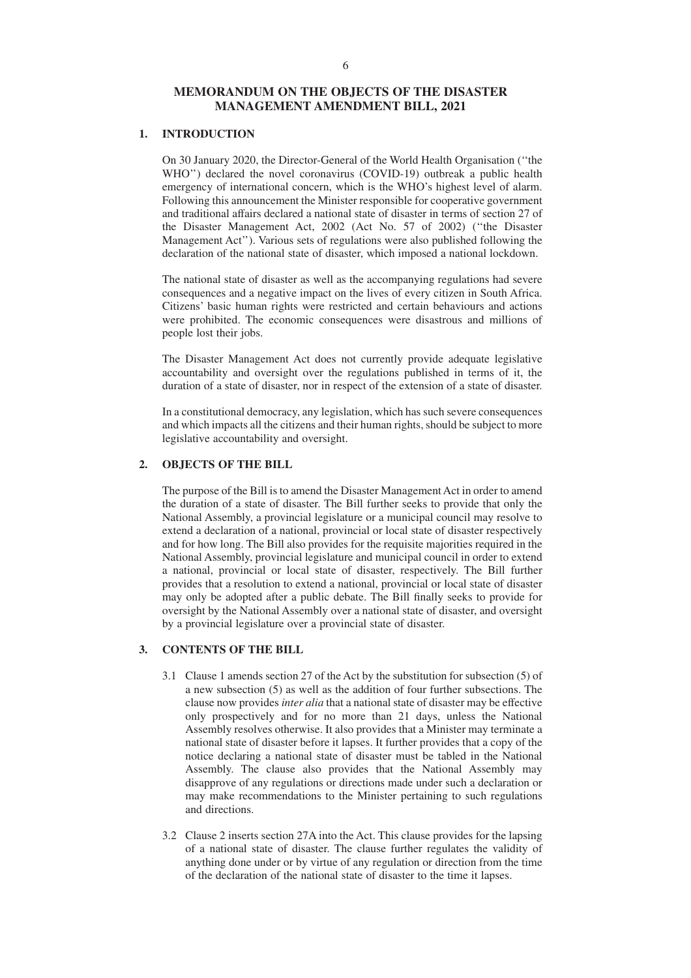## **MEMORANDUM ON THE OBJECTS OF THE DISASTER MANAGEMENT AMENDMENT BILL, 2021**

## **1. INTRODUCTION**

On 30 January 2020, the Director-General of the World Health Organisation (''the WHO") declared the novel coronavirus (COVID-19) outbreak a public health emergency of international concern, which is the WHO's highest level of alarm. Following this announcement the Minister responsible for cooperative government and traditional affairs declared a national state of disaster in terms of section 27 of the Disaster Management Act, 2002 (Act No. 57 of 2002) (''the Disaster Management Act''). Various sets of regulations were also published following the declaration of the national state of disaster, which imposed a national lockdown.

The national state of disaster as well as the accompanying regulations had severe consequences and a negative impact on the lives of every citizen in South Africa. Citizens' basic human rights were restricted and certain behaviours and actions were prohibited. The economic consequences were disastrous and millions of people lost their jobs.

The Disaster Management Act does not currently provide adequate legislative accountability and oversight over the regulations published in terms of it, the duration of a state of disaster, nor in respect of the extension of a state of disaster.

In a constitutional democracy, any legislation, which has such severe consequences and which impacts all the citizens and their human rights, should be subject to more legislative accountability and oversight.

## **2. OBJECTS OF THE BILL**

The purpose of the Bill is to amend the Disaster Management Act in order to amend the duration of a state of disaster. The Bill further seeks to provide that only the National Assembly, a provincial legislature or a municipal council may resolve to extend a declaration of a national, provincial or local state of disaster respectively and for how long. The Bill also provides for the requisite majorities required in the National Assembly, provincial legislature and municipal council in order to extend a national, provincial or local state of disaster, respectively. The Bill further provides that a resolution to extend a national, provincial or local state of disaster may only be adopted after a public debate. The Bill finally seeks to provide for oversight by the National Assembly over a national state of disaster, and oversight by a provincial legislature over a provincial state of disaster.

## **3. CONTENTS OF THE BILL**

- 3.1 Clause 1 amends section 27 of the Act by the substitution for subsection (5) of a new subsection (5) as well as the addition of four further subsections. The clause now provides *inter alia* that a national state of disaster may be effective only prospectively and for no more than 21 days, unless the National Assembly resolves otherwise. It also provides that a Minister may terminate a national state of disaster before it lapses. It further provides that a copy of the notice declaring a national state of disaster must be tabled in the National Assembly. The clause also provides that the National Assembly may disapprove of any regulations or directions made under such a declaration or may make recommendations to the Minister pertaining to such regulations and directions.
- 3.2 Clause 2 inserts section 27A into the Act. This clause provides for the lapsing of a national state of disaster. The clause further regulates the validity of anything done under or by virtue of any regulation or direction from the time of the declaration of the national state of disaster to the time it lapses.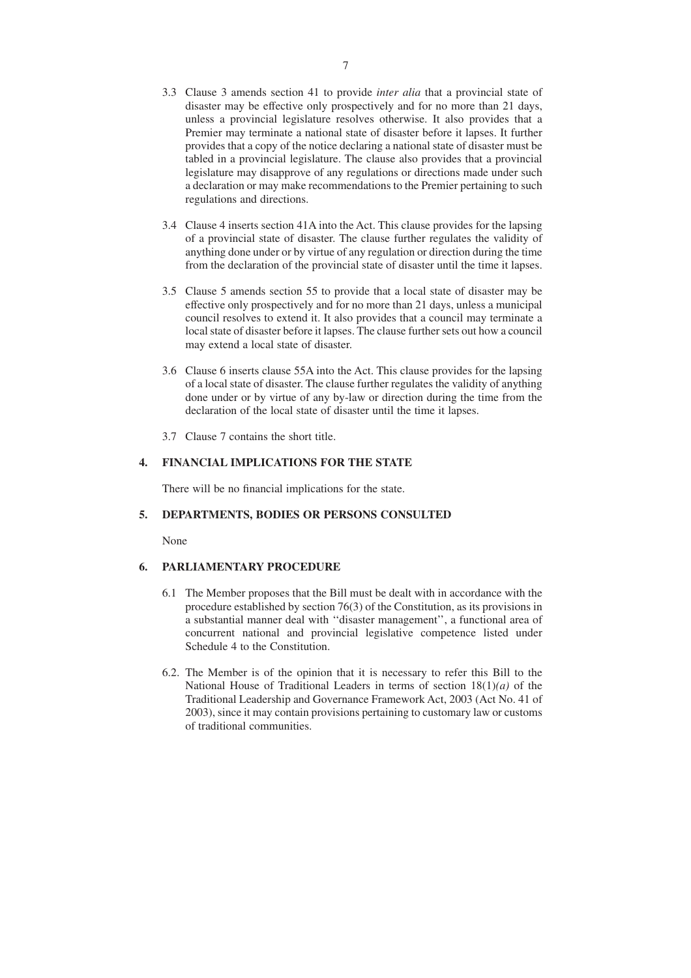- 3.3 Clause 3 amends section 41 to provide *inter alia* that a provincial state of disaster may be effective only prospectively and for no more than 21 days, unless a provincial legislature resolves otherwise. It also provides that a Premier may terminate a national state of disaster before it lapses. It further provides that a copy of the notice declaring a national state of disaster must be tabled in a provincial legislature. The clause also provides that a provincial legislature may disapprove of any regulations or directions made under such a declaration or may make recommendations to the Premier pertaining to such regulations and directions.
- 3.4 Clause 4 inserts section 41A into the Act. This clause provides for the lapsing of a provincial state of disaster. The clause further regulates the validity of anything done under or by virtue of any regulation or direction during the time from the declaration of the provincial state of disaster until the time it lapses.
- 3.5 Clause 5 amends section 55 to provide that a local state of disaster may be effective only prospectively and for no more than 21 days, unless a municipal council resolves to extend it. It also provides that a council may terminate a local state of disaster before it lapses. The clause further sets out how a council may extend a local state of disaster.
- 3.6 Clause 6 inserts clause 55A into the Act. This clause provides for the lapsing of a local state of disaster. The clause further regulates the validity of anything done under or by virtue of any by-law or direction during the time from the declaration of the local state of disaster until the time it lapses.
- 3.7 Clause 7 contains the short title.

## **4. FINANCIAL IMPLICATIONS FOR THE STATE**

There will be no financial implications for the state.

#### **5. DEPARTMENTS, BODIES OR PERSONS CONSULTED**

None

## **6. PARLIAMENTARY PROCEDURE**

- 6.1 The Member proposes that the Bill must be dealt with in accordance with the procedure established by section 76(3) of the Constitution, as its provisions in a substantial manner deal with ''disaster management'', a functional area of concurrent national and provincial legislative competence listed under Schedule 4 to the Constitution.
- 6.2. The Member is of the opinion that it is necessary to refer this Bill to the National House of Traditional Leaders in terms of section 18(1)*(a)* of the Traditional Leadership and Governance Framework Act, 2003 (Act No. 41 of 2003), since it may contain provisions pertaining to customary law or customs of traditional communities.